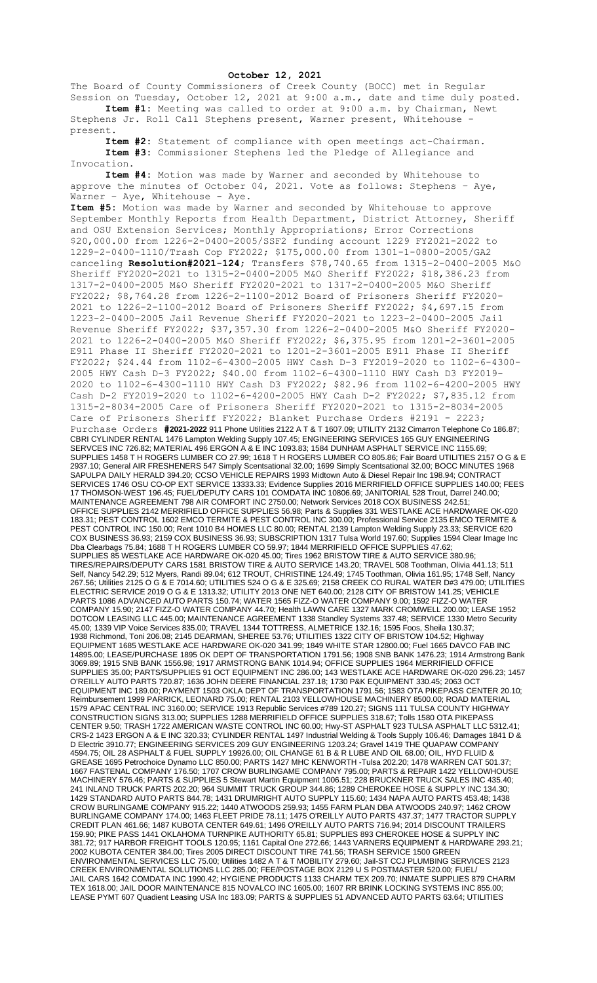## **October 12, 2021**

The Board of County Commissioners of Creek County (BOCC) met in Regular Session on Tuesday, October 12, 2021 at 9:00 a.m., date and time duly posted. **Item #1:** Meeting was called to order at 9:00 a.m. by Chairman, Newt

Stephens Jr. Roll Call Stephens present, Warner present, Whitehouse present.

**Item #2:** Statement of compliance with open meetings act-Chairman. **Item #3:** Commissioner Stephens led the Pledge of Allegiance and Invocation.

**Item #4:** Motion was made by Warner and seconded by Whitehouse to approve the minutes of October 04, 2021. Vote as follows: Stephens – Aye, Warner - Aye, Whitehouse - Aye.

**Item #5:** Motion was made by Warner and seconded by Whitehouse to approve September Monthly Reports from Health Department, District Attorney, Sheriff and OSU Extension Services; Monthly Appropriations; Error Corrections \$20,000.00 from 1226-2-0400-2005/SSF2 funding account 1229 FY2021-2022 to 1229-2-0400-1110/Trash Cop FY2022; \$175,000.00 from 1301-1-0800-2005/GA2 canceling **Resolution#2021-124**; Transfers \$78,740.65 from 1315-2-0400-2005 M&O Sheriff FY2020-2021 to 1315-2-0400-2005 M&O Sheriff FY2022; \$18,386.23 from 1317-2-0400-2005 M&O Sheriff FY2020-2021 to 1317-2-0400-2005 M&O Sheriff FY2022; \$8,764.28 from 1226-2-1100-2012 Board of Prisoners Sheriff FY2020- 2021 to 1226-2-1100-2012 Board of Prisoners Sheriff FY2022; \$4,697.15 from 1223-2-0400-2005 Jail Revenue Sheriff FY2020-2021 to 1223-2-0400-2005 Jail Revenue Sheriff FY2022; \$37,357.30 from 1226-2-0400-2005 M&O Sheriff FY2020- 2021 to 1226-2-0400-2005 M&O Sheriff FY2022; \$6,375.95 from 1201-2-3601-2005 E911 Phase II Sheriff FY2020-2021 to 1201-2-3601-2005 E911 Phase II Sheriff FY2022; \$24.44 from 1102-6-4300-2005 HWY Cash D-3 FY2019-2020 to 1102-6-4300- 2005 HWY Cash D-3 FY2022; \$40.00 from 1102-6-4300-1110 HWY Cash D3 FY2019- 2020 to 1102-6-4300-1110 HWY Cash D3 FY2022; \$82.96 from 1102-6-4200-2005 HWY Cash D-2 FY2019-2020 to 1102-6-4200-2005 HWY Cash D-2 FY2022; \$7,835.12 from 1315-2-8034-2005 Care of Prisoners Sheriff FY2020-2021 to 1315-2-8034-2005 Care of Prisoners Sheriff FY2022; Blanket Purchase Orders #2191 - 2223; Purchase Orders **#2021-2022** 911 Phone Utilities 2122 A T & T 1607.09; UTILITY 2132 Cimarron Telephone Co 186.87; CBRI CYLINDER RENTAL 1476 Lampton Welding Supply 107.45; ENGINEERING SERVICES 165 GUY ENGINEERING SERVCES INC 726.82; MATERIAL 496 ERGON A & E INC 1093.83; 1584 DUNHAM ASPHALT SERVICE INC 1155.69; SUPPLIES 1458 T H ROGERS LUMBER CO 27.99; 1618 T H ROGERS LUMBER CO 805.86; Fair Board UTILITIES 2157 O G & E 2937.10; General AIR FRESHENERS 547 Simply Scentsational 32.00; 1699 Simply Scentsational 32.00; BOCC MINUTES 1968 SAPULPA DAILY HERALD 394.20; CCSO VEHICLE REPAIRS 1993 Midtown Auto & Diesel Repair Inc 198.94; CONTRACT SERVICES 1746 OSU CO-OP EXT SERVICE 13333.33; Evidence Supplies 2016 MERRIFIELD OFFICE SUPPLIES 140.00; FEES 17 THOMSON-WEST 196.45; FUEL/DEPUTY CARS 101 COMDATA INC 10806.69; JANITORIAL 528 Trout, Darrel 240.00; MAINTENANCE AGREEMENT 798 AIR COMFORT INC 2750.00; Network Services 2018 COX BUSINESS 242.51; OFFICE SUPPLIES 2142 MERRIFIELD OFFICE SUPPLIES 56.98; Parts & Supplies 331 WESTLAKE ACE HARDWARE OK-020 183.31; PEST CONTROL 1602 EMCO TERMITE & PEST CONTROL INC 300.00; Professional Service 2135 EMCO TERMITE & PEST CONTROL INC 150.00; Rent 1010 B4 HOMES LLC 80.00; RENTAL 2139 Lampton Welding Supply 23.33; SERVICE 620 COX BUSINESS 36.93; 2159 COX BUSINESS 36.93; SUBSCRIPTION 1317 Tulsa World 197.60; Supplies 1594 Clear Image Inc Dba Clearbags 75.84; 1688 T H ROGERS LUMBER CO 59.97; 1844 MERRIFIELD OFFICE SUPPLIES 47.62; SUPPLIES 85 WESTLAKE ACE HARDWARE OK-020 45.00; Tires 1962 BRISTOW TIRE & AUTO SERVICE 380.96; TIRES/REPAIRS/DEPUTY CARS 1581 BRISTOW TIRE & AUTO SERVICE 143.20; TRAVEL 508 Toothman, Olivia 441.13; 511 Self, Nancy 542.29; 512 Myers, Randi 89.04; 612 TROUT, CHRISTINE 124.49; 1745 Toothman, Olivia 161.95; 1748 Self, Nancy 267.56; Utilities 2125 O G & E 7014.60; UTILITIES 524 O G & E 325.69; 2158 CREEK CO RURAL WATER D#3 479.00; UTILITIES ELECTRIC SERVICE 2019 O G & E 1313.32; UTILITY 2013 ONE NET 640.00; 2128 CITY OF BRISTOW 141.25; VEHICLE PARTS 1086 ADVANCED AUTO PARTS 150.74; WATER 1565 FIZZ-O WATER COMPANY 9.00; 1592 FIZZ-O WATER COMPANY 15.90; 2147 FIZZ-O WATER COMPANY 44.70; Health LAWN CARE 1327 MARK CROMWELL 200.00; LEASE 1952 DOTCOM LEASING LLC 445.00; MAINTENANCE AGREEMENT 1338 Standley Systems 337.48; SERVICE 1330 Metro Security 45.00; 1339 VIP Voice Services 835.00; TRAVEL 1344 TOTTRESS, ALMETRICE 132.16; 1595 Foos, Sheila 130.37; 1938 Richmond, Toni 206.08; 2145 DEARMAN, SHEREE 53.76; UTILITIES 1322 CITY OF BRISTOW 104.52; Highway EQUIPMENT 1685 WESTLAKE ACE HARDWARE OK-020 341.99; 1849 WHITE STAR 12800.00; Fuel 1665 DAVCO FAB INC 14895.00; LEASE/PURCHASE 1895 OK DEPT OF TRANSPORTATION 1791.56; 1908 SNB BANK 1476.23; 1914 Armstrong Bank 3069.89; 1915 SNB BANK 1556.98; 1917 ARMSTRONG BANK 1014.94; OFFICE SUPPLIES 1964 MERRIFIELD OFFICE SUPPLIES 35.00; PARTS/SUPPLIES 91 OCT EQUIPMENT INC 286.00; 143 WESTLAKE ACE HARDWARE OK-020 296.23; 1457 O'REILLY AUTO PARTS 720.87; 1636 JOHN DEERE FINANCIAL 237.18; 1730 P&K EQUIPMENT 330.45; 2063 OCT EQUIPMENT INC 189.00; PAYMENT 1503 OKLA DEPT OF TRANSPORTATION 1791.56; 1583 OTA PIKEPASS CENTER 20.10; Reimbursement 1999 PARRICK, LEONARD 75.00; RENTAL 2103 YELLOWHOUSE MACHINERY 8500.00; ROAD MATERIAL 1579 APAC CENTRAL INC 3160.00; SERVICE 1913 Republic Services #789 120.27; SIGNS 111 TULSA COUNTY HIGHWAY CONSTRUCTION SIGNS 313.00; SUPPLIES 1288 MERRIFIELD OFFICE SUPPLIES 318.67; Tolls 1580 OTA PIKEPASS CENTER 9.50; TRASH 1722 AMERICAN WASTE CONTROL INC 60.00; Hwy-ST ASPHALT 923 TULSA ASPHALT LLC 5312.41; CRS-2 1423 ERGON A & E INC 320.33; CYLINDER RENTAL 1497 Industrial Welding & Tools Supply 106.46; Damages 1841 D & D Electric 3910.77; ENGINEERING SERVICES 209 GUY ENGINEERING 1203.24; Gravel 1419 THE QUAPAW COMPANY 4594.75; OIL 28 ASPHALT & FUEL SUPPLY 19926.00; OIL CHANGE 61 B & R LUBE AND OIL 68.00; OIL, HYD FLUID & GREASE 1695 Petrochoice Dynamo LLC 850.00; PARTS 1427 MHC KENWORTH -Tulsa 202.20; 1478 WARREN CAT 501.37; 1667 FASTENAL COMPANY 176.50; 1707 CROW BURLINGAME COMPANY 795.00; PARTS & REPAIR 1422 YELLOWHOUSE MACHINERY 576.46; PARTS & SUPPLIES 5 Stewart Martin Equipment 1006.51; 228 BRUCKNER TRUCK SALES INC 435.40; 241 INLAND TRUCK PARTS 202.20; 964 SUMMIT TRUCK GROUP 344.86; 1289 CHEROKEE HOSE & SUPPLY INC 134.30; 1429 STANDARD AUTO PARTS 844.78; 1431 DRUMRIGHT AUTO SUPPLY 115.60; 1434 NAPA AUTO PARTS 453.48; 1438 CROW BURLINGAME COMPANY 915.22; 1440 ATWOODS 259.93; 1455 FARM PLAN DBA ATWOODS 240.97; 1462 CROW BURLINGAME COMPANY 174.00; 1463 FLEET PRIDE 78.11; 1475 O'REILLY AUTO PARTS 437.37; 1477 TRACTOR SUPPLY CREDIT PLAN 461.66; 1487 KUBOTA CENTER 649.61; 1496 O'REILLY AUTO PARTS 716.94; 2014 DISCOUNT TRAILERS 159.90; PIKE PASS 1441 OKLAHOMA TURNPIKE AUTHORITY 65.81; SUPPLIES 893 CHEROKEE HOSE & SUPPLY INC 381.72; 917 HARBOR FREIGHT TOOLS 120.95; 1161 Capital One 272.66; 1443 VARNERS EQUIPMENT & HARDWARE 293.21; 2002 KUBOTA CENTER 384.00; Tires 2005 DIRECT DISCOUNT TIRE 741.56; TRASH SERVICE 1500 GREEN ENVIRONMENTAL SERVICES LLC 75.00; Utilities 1482 A T & T MOBILITY 279.60; Jail-ST CCJ PLUMBING SERVICES 2123 CREEK ENVIRONMENTAL SOLUTIONS LLC 285.00; FEE/POSTAGE BOX 2129 U S POSTMASTER 520.00; FUEL/ JAIL CARS 1642 COMDATA INC 1990.42; HYGIENE PRODUCTS 1133 CHARM TEX 209.70; INMATE SUPPLIES 879 CHARM TEX 1618.00; JAIL DOOR MAINTENANCE 815 NOVALCO INC 1605.00; 1607 RR BRINK LOCKING SYSTEMS INC 855.00; LEASE PYMT 607 Quadient Leasing USA Inc 183.09; PARTS & SUPPLIES 51 ADVANCED AUTO PARTS 63.64; UTILITIES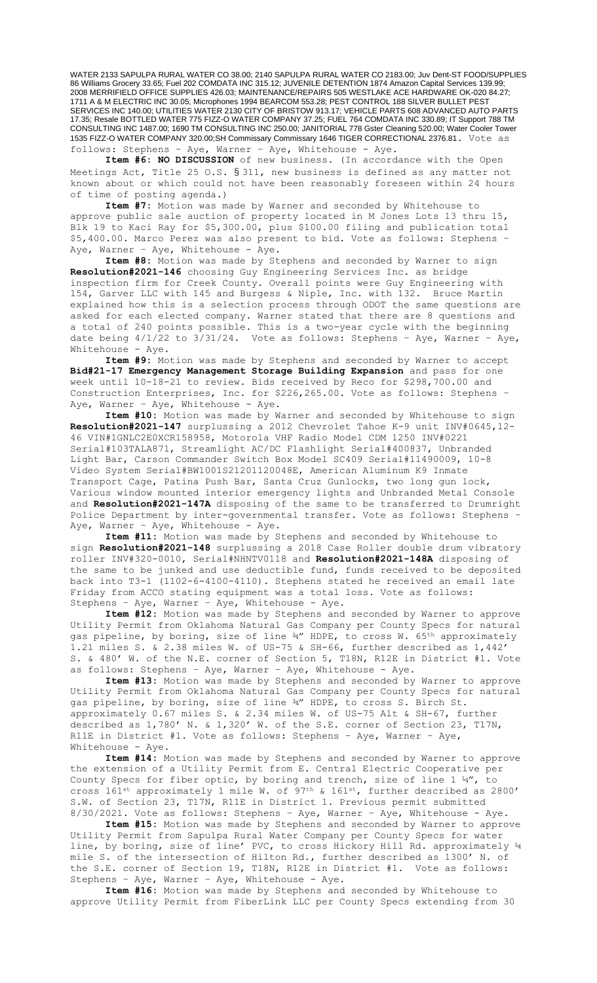WATER 2133 SAPULPA RURAL WATER CO 38.00; 2140 SAPULPA RURAL WATER CO 2183.00; Juv Dent-ST FOOD/SUPPLIES 86 Williams Grocery 33.65; Fuel 202 COMDATA INC 315.12; JUVENILE DETENTION 1874 Amazon Capital Services 139.99; 2008 MERRIFIELD OFFICE SUPPLIES 426.03; MAINTENANCE/REPAIRS 505 WESTLAKE ACE HARDWARE OK-020 84.27; 1711 A & M ELECTRIC INC 30.05; Microphones 1994 BEARCOM 553.28; PEST CONTROL 188 SILVER BULLET PEST SERVICES INC 140.00; UTILITIES WATER 2130 CITY OF BRISTOW 913.17; VEHICLE PARTS 608 ADVANCED AUTO PARTS 17.35; Resale BOTTLED WATER 775 FIZZ-O WATER COMPANY 37.25; FUEL 764 COMDATA INC 330.89; IT Support 788 TM CONSULTING INC 1487.00; 1690 TM CONSULTING INC 250.00; JANITORIAL 778 Gster Cleaning 520.00; Water Cooler Tower 1535 FIZZ-O WATER COMPANY 320.00;SH Commissary Commissary 1646 TIGER CORRECTIONAL 2376.81. Vote as follows: Stephens – Aye, Warner – Aye, Whitehouse - Aye.

**Item #6: NO DISCUSSION** of new business. (In accordance with the Open Meetings Act, Title 25 O.S. § 311, new business is defined as any matter not known about or which could not have been reasonably foreseen within 24 hours of time of posting agenda.)

**Item #7:** Motion was made by Warner and seconded by Whitehouse to approve public sale auction of property located in M Jones Lots 13 thru 15, Blk 19 to Kaci Ray for \$5,300.00, plus \$100.00 filing and publication total \$5,400.00. Marco Perez was also present to bid. Vote as follows: Stephens – Aye, Warner - Aye, Whitehouse - Aye.

**Item #8:** Motion was made by Stephens and seconded by Warner to sign **Resolution#2021-146** choosing Guy Engineering Services Inc. as bridge inspection firm for Creek County. Overall points were Guy Engineering with 154, Garver LLC with 145 and Burgess & Niple, Inc. with 132. Bruce Martin explained how this is a selection process through ODOT the same questions are asked for each elected company. Warner stated that there are 8 questions and a total of 240 points possible. This is a two-year cycle with the beginning date being  $4/1/22$  to  $3/31/24$ . Vote as follows: Stephens - Aye, Warner - Aye, Whitehouse - Aye.

**Item #9:** Motion was made by Stephens and seconded by Warner to accept **Bid#21-17 Emergency Management Storage Building Expansion** and pass for one week until 10-18-21 to review. Bids received by Reco for \$298,700.00 and Construction Enterprises, Inc. for \$226,265.00. Vote as follows: Stephens – Aye, Warner - Aye, Whitehouse - Aye.

**Item #10:** Motion was made by Warner and seconded by Whitehouse to sign **Resolution#2021-147** surplussing a 2012 Chevrolet Tahoe K-9 unit INV#0645,12- 46 VIN#1GNLC2E0XCR158958, Motorola VHF Radio Model CDM 1250 INV#0221 Serial#103TALA871, Streamlight AC/DC Flashlight Serial#400837, Unbranded Light Bar, Carson Commander Switch Box Model SC409 Serial#11490009, 10-8 Video System Serial#BW1001S21201120048E, American Aluminum K9 Inmate Transport Cage, Patina Push Bar, Santa Cruz Gunlocks, two long gun lock, Various window mounted interior emergency lights and Unbranded Metal Console and **Resolution#2021-147A** disposing of the same to be transferred to Drumright Police Department by inter-governmental transfer. Vote as follows: Stephens – Aye, Warner - Aye, Whitehouse - Aye.

**Item #11:** Motion was made by Stephens and seconded by Whitehouse to sign **Resolution#2021-148** surplussing a 2018 Case Roller double drum vibratory roller INV#320-0010, Serial#NHNTV0118 and **Resolution#2021-148A** disposing of the same to be junked and use deductible fund, funds received to be deposited back into T3-1 (1102-6-4100-4110). Stephens stated he received an email late Friday from ACCO stating equipment was a total loss. Vote as follows: Stephens – Aye, Warner – Aye, Whitehouse - Aye.

**Item #12:** Motion was made by Stephens and seconded by Warner to approve Utility Permit from Oklahoma Natural Gas Company per County Specs for natural gas pipeline, by boring, size of line ¾" HDPE, to cross W. 65th approximately 1.21 miles S. & 2.38 miles W. of US-75 & SH-66, further described as 1,442' S. & 480' W. of the N.E. corner of Section 5, T18N, R12E in District #1. Vote as follows: Stephens – Aye, Warner – Aye, Whitehouse - Aye.

**Item #13:** Motion was made by Stephens and seconded by Warner to approve Utility Permit from Oklahoma Natural Gas Company per County Specs for natural gas pipeline, by boring, size of line ¾" HDPE, to cross S. Birch St. approximately 0.67 miles S. & 2.34 miles W. of US-75 Alt & SH-67, further described as 1,780' N. & 1,320' W. of the S.E. corner of Section 23, T17N, R11E in District #1. Vote as follows: Stephens – Aye, Warner – Aye, Whitehouse - Aye.

**Item #14:** Motion was made by Stephens and seconded by Warner to approve the extension of a Utility Permit from E. Central Electric Cooperative per County Specs for fiber optic, by boring and trench, size of line  $1\frac{1}{4}$ , to cross 161st approximately 1 mile W. of 97th & 161st, further described as 2800' S.W. of Section 23, T17N, R11E in District 1. Previous permit submitted 8/30/2021. Vote as follows: Stephens – Aye, Warner – Aye, Whitehouse - Aye.

**Item #15:** Motion was made by Stephens and seconded by Warner to approve Utility Permit from Sapulpa Rural Water Company per County Specs for water line, by boring, size of line' PVC, to cross Hickory Hill Rd. approximately  $\frac{1}{4}$ mile S. of the intersection of Hilton Rd., further described as 1300' N. of the S.E. corner of Section 19, T18N, R12E in District #1. Vote as follows: Stephens – Aye, Warner – Aye, Whitehouse - Aye.

**Item #16:** Motion was made by Stephens and seconded by Whitehouse to approve Utility Permit from FiberLink LLC per County Specs extending from 30